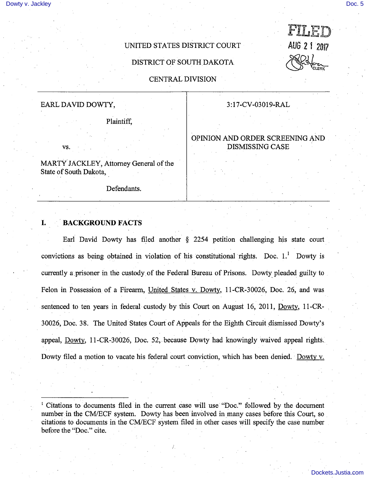AUG 2 1 2017

CLERK

## UNITED STATES DISTRICT COURT

DISTRICT OF SOUTH DAKOTA

CENTRAL DIVISION

# EARL DAVID DOWTY, 2008 2:17-CV-03019-RAL

Plaintiff,

vs.

MARTY JACKLEY, Attorney General of the State of South Dakota,

Defendants.

### 1. BACKGROUND FACTS

Earl David Dowty has filed another  $\S$  2254 petition challenging his state court convictions as being obtained in violation of his constitutional rights. Doc. I.' Dowty is currently a prisoner in the custody of the Federal Bureau of Prisons. Dowty pleaded guilty to Felon in Possession of a Firearm, United States v. Dowty, 11-CR-30026, Doc. 26, and was sentenced to ten years in federal custody by this Court on August 16, 2011, Dowtv. Il-CR-30026, Doc. 38. The United States Court of Appeals for the Eighth Circuit dismissed Dowty's appeal. Dowtv. lI-CR-30026, Doc. 52, because Dowty had knowingly waived appeal rights. Dowty filed a motion to vacate his federal court conviction, which has been denied. Dowty v.

' Citations to documents filed in the current case will use "Doc." followed by the document number in the CM/ECF system. Dowty has been involved in many cases before this Court, so citations to documents in the CM/ECF system filed in other cases will specify the case number before the "Doc." cite.

## OPINION AND ORDER SCREENING AND DISMISSING CASE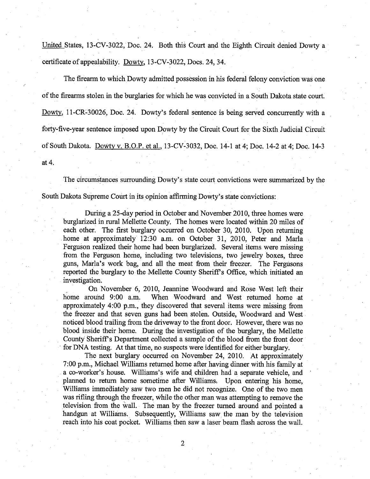United States. 13-CV-3022, Doc. 24. Both this Court and the Eighth Circuit denied Dowty a certificate of appealability. Dowty, 13-CV-3022, Docs. 24, 34.

The firearm to which Dowty admitted possession in his federal felony conviction was one of the firearms stolen in the burglaries for which he was convicted in a South Dakota state court. Dowty, 11-CR-30026, Doc. 24. Dowty's federal sentence is being served concurrently with a forty-five-year sentence imposed upon Dowty by the Circuit Court for the Sixth Judicial Circuit of South Dakota. Dowtv v. B.O.P. et al.. 13-CV-3032, Doc. 14-1 at 4; Doc. 14-2 at 4; Doc. 14-3 at 4.

The circumstances surrounding Dowty's state court convictions were summarized by the South Dakota Supreme Court in its opinion affirming Dowty's state convictions:

During a 25-day period in October and November 2010, three homes were burglarized in rural Mellette County, The homes were located within 20 miles of each other. The first burglary occurred on October 30, 2010. Upon retuming home at approximately 12:30 a.m. on October 31, 2010, Peter and Maria Ferguson realized their home had been burglarized. Several items were missing from the Ferguson home, including two televisions, two jewelry boxes, three guns, Marla's work bag, and all the meat from their freezer. The Fergusons reported the burglary to the Mellette County Sheriff's Office, which initiated an investigation.

On November 6, 2010, Jeannine Woodward and Rose West left their home around 9:00 a.m. When Woodward and West returned home at approximately 4:00 p.m., they discovered that several items were missing from the freezer and that seven guns had been stolen. Outside, Woodward and West noticed blood trailing from the driveway to the front door. However, there was no blood inside their home. During the investigation of the burglary, the Mellette County Sheriff's Department collected a sample of the blood from the front door for DNA testing. At that time, no suspects were identified for either burglary.

The next burglary occurred on November 24, 2010. At approximately 7:00 p.m., Michael Williams returned home after having dinner with his family at a co-worker's house. Williams's wife and children had a separate vehicle, and planned to return home sometime after Williams. Upon entering his home, Williams immediately saw two men he did not recognize. One of the two men was rifling through the freezer, while the other man was attempting to remove the television from the wall. The man by the freezer turned around and pointed a handgun at Williams. Subsequently, Williams saw the man by the television reach into his coat pocket. Williams then saw a laser beam flash across the wall.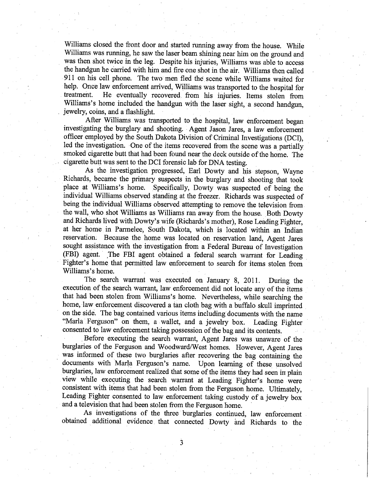Williams closed the front door and started running away from the house. While Williams was running, he saw the laser beam shining near him on the ground and was then shot twice in the leg. Despite his injuries, Williams was able to aceess the handgun he carried with him and fire one shot in the air. Williams then called 911 on his cell phone. The two men fled the scene while Williams waited for help. Once law enforcement arrived, Williams was transported to the hospital for treatment. He eventually reeovered from his injuries. Items stolen from Williams's home included the handgun with the laser sight, a second handgun, jewelry, coins, and a flashlight.

After Williams was transported to the hospital, law enforcement began investigating the burglary and shooting. Agent Jason Jares, a law enforcement offieer employed by the South Dakota Division of Criminal Investigations (DCI), led the investigation. One of the items recovered from the seene was a partially smoked eigarette butt that had been found near the deek outside of the home. The cigarette butt was sent to the DCI forensic lab for DNA testing.

As the investigation progressed. Earl Dowty and his stepson, Wayne Richards, became the primary suspeets in the burglary and shooting that took place at Williams's home. Specifically, Dowty was suspected of being the individual Williams observed standing at the freezer. Richards was suspected of being the individual Williams observed attempting to remove the television from the wall, who shot Williams as Williams ran away from the house. Both Dowty and Riehards lived with Dowty's wife (Richards's mother). Rose Leading Fighter, at her home in Parmelee, South Dakota, whieh is located within an Indian reservation. Because the home was located on reservation land. Agent Jares sought assistance with the investigation from a Federal Bureau of Investigation (FBI) agent. The FBI agent obtained a federal search warrant for Leading Fighter's home that permitted law enforcement to search for items stolen from Williams's home.

The search warrant was executed on January 8, 2011. During the execution of the search warrant, law enforcement did not loeate any of the items that had been stolen from Wilhams's home. Nevertheless, while searching the home, law enforcement diseovered a tan cloth bag with a buffalo skull imprinted on the side. The bag contained various items including doeuments with the name "Maria Ferguson" on them, a wallet, and a jewelry box. Leading Fighter consented to law enforcement taking possession of the bag and its eontents.

. Before exeeuting the search warrant. Agent Jares was unaware of the burglaries of the Ferguson and Woodward/West homes. However, Agent Jares was informed of these two burglaries after reeovering the bag containing the documents with Maria Ferguson's name. Upon learning of these unsolved burglaries, law enforcement realized that some of the items they had seen in plain view while executing the search warrant at Leading Fighter's home were consistent with items that had been stolen from the Ferguson home. Ultimately, Leading Fighter consented to law enforeement taking custody of a jewelry box and a television that had been stolen from the Ferguson home.

As investigations of the three burglaries continued, law enforcement obtained additional evidence that connected Dowty and Richards to the

3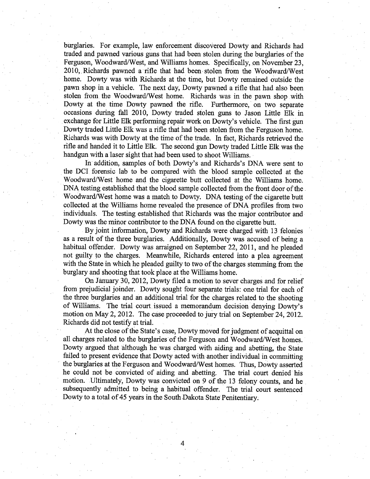burglaries. For example, law enforcement discovered Dowty and Richards had traded and pawned various guns that had been stolen during the burglaries of the Ferguson, Woodward/West, and Williams homes. Specifically, on November 23, 2010, Richards pawned a rifle that had been stolen from the Woodward/West home. Dowty was with Richards at the time, but Dowty remained outside the pawn shop in a vehicle. The next day, Dowty pawned a rifle that had also been stolen from the Woodward/West home. Richards was in the pawn shop with Dowty at the time Dowty pawned the rifle. Furthermore, on two separate occasions during fall 2010, Dowty traded stolen guns to Jason Little Elk in exchange for Little Elk performing repair work on Dowty's vehicle. The first gun Dowty traded Little Elk was a rifle that had been stolen from the Ferguson home. Richards was with Dowty at the time of the trade. In fact, Richards retrieved the rifle and handed it to Little Elk. The second gun Dowty traded Little Elk was the handgun with a laser sight that had been used to shoot Williams.

In addition, samples of both Dowty's and Richards's DNA were sent to the DCI forensic lab to be compared with the blood sample collected at the Woodward/West home and the cigarette butt collected at the Williams home. DNA testing established that the blood sample collected from the front door of the Woodward/West home was a match to Dowty. DNA testing of the cigarette butt collected at the Williams home revealed the presence of DNA profiles from two individuals. The testing established that Richards was the major contributor and Dowty was the minor contributor to the DNA found on the cigarette butt.

By joint information, Dowty and Richards were charged with 13 felonies as a result of the three burglaries. Additionally, Dowty was accused of being a habitual offender. Dowty was arraigned on September 22, 2011, and he pleaded not guilty to the charges. Meanwhile, Richards entered into a plea agreement with the State in which he pleaded guilty to two of the charges stemming from the burglary and shooting that took place at the Williams home.

On January 30, 2012, Dowty filed a motion to sever charges and for relief from prejudicial joinder. Dowty sought four separate trials: one trial for each of the three burglaries and an additional trial for the charges related to the shooting of Williams. The trial court issued a memorandum decision denying Dowty's motion on May 2, 2012. The case proceeded to jury trial on September 24, 2012. Richards did not testify at trial.

At the close of the State's case, Dowty moved for judgment of acquittal on all charges related to the burglaries of the Ferguson and Woodward/West homes. Dowty argued that although he was charged with aiding and abetting, the State failed to present evidence that Dowty acted with another individual in committing the burglaries at the Ferguson and Woodward/West homes. Thus, Dowty asserted he could not be convicted of aiding and abetting. The trial eourt denied his motion. Ultimately, Dowty was convicted on 9 of the 13 felony counts, and he subsequently admitted to being a habitual offender. The trial court sentenced Dowty to a total of 45 years in the South Dakota State Penitentiary.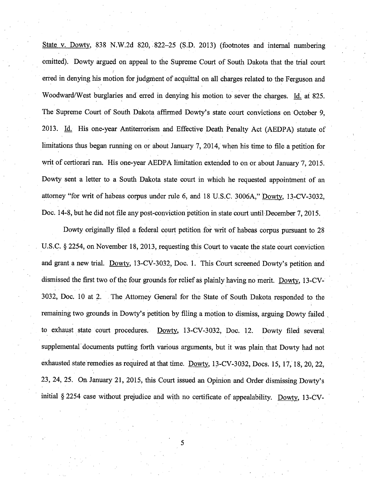State v. Dowty, 838 N.W.2d 820, 822–25 (S.D. 2013) (footnotes and internal numbering omitted). Dowty argued on appeal to the Supreme Court of South Dakota that the trial court erred in denying his motion for judgment of acquittal on all charges related to the Ferguson and Woodward/West burglaries and erred in denying his motion to sever the charges. Id. at 825. The Supreme Court of South Dakota affirmed Dowty's state court convictions on October 9, 2013. Id. His one-year Antiterrorism and Effective Death Penalty Act (AEDPA) statute of limitations thus began running on or about January 7, 2014, when his time to file a petition for writ of certiorari ran. His one-year AEDPA limitation extended to on or about January 7, 2015. Dowty sent a letter to a South Dakota state court in which he requested appointment of an attorney "for writ of habeas corpus under rule 6, and 18 U.S.C. 3006A," Dowty, 13-CV-3032, Doc. 14-8, but he did not file any post-conviction petition in state court until December 7, 2015.

Dowty originally filed a federal court petition for writ of habeas corpus pursuant to 28 U.S.C. § 2254, on November 18, 2013, requesting this Court to vacate the state court conviction and grant a new trial. Dowtv. 13-CV-3032, Doc. 1. This Court screened Dowty's petition and dismissed the first two of the four grounds for relief as plainly having no merit. Dowtv. 13-CV-3032, Doc. 10 at 2. The Attorney General for the State of South Dakota responded to the remaining two grounds in Dowty's petition by filing a motion to dismiss, arguing Dowty failed to exhaust state court procedures. Dowty, 13-CV-3032, Doc. 12. Dowty filed several supplemental documents putting forth various arguments, but it was plain that Dowty had not exhausted state remedies as required at that time. Dowty, 13-CV-3032, Docs. 15, 17, 18, 20, 22, 23, 24, 25. On January 21, 2015, this Court issued an Opinion and Order dismissing Dowty's initial  $\S 2254$  case without prejudice and with no certificate of appealability. Dowty, 13-CV-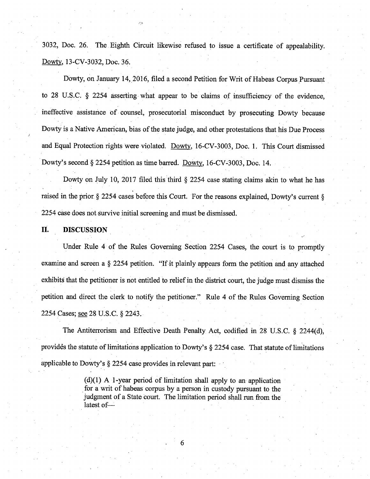3032, Doc. 26. The Eighth Circuit likewise refused to issue a certificate of appealability. Dowtv. 13-CV-3032. Doc. 36.

Dowty, on January 14, 2016, filed a second Petition for Writ of Habeas Corpus Pursuant to 28 U.S.C. § 2254 asserting what appear to be claims of insufficiency of the evidence, ineffective assistance of counsel, prosecutorial misconduct by prosecuting Dowty because Dowty is a Native American, bias of the state judge, and other protestations that his Due Process and Equal Protection rights were violated. Dowty, 16-CV-3003, Doc. 1. This Court dismissed Dowty's second § 2254 petition as time barred. Dowty, 16-CV-3003, Doc. 14.

Dowty on July 10, 2017 filed this third  $\S$  2254 case stating claims akin to what he has raised in the prior § 2254 cases before this Court. For the reasons explained, Dowty's current § 2254 case does not survive initial screening and must be dismissed.

II. DISCUSSION

Under Rule 4 of the Rules Governing Section 2254 Cases, the court is to promptly examine and screen a § 2254 petition. "If it plainly appears form the petition and any attached exhibits that the petitioner is not entitled to relief in the district court, the judge must dismiss the petition and direct the clerk to notify the petitioner." Rule 4 of the Rules Governing Section 2254 Cases; see 28 U.S.C. § 2243,

The Antiterrorism and Effective Death Penalty Act, codified in 28 U.S.C. § 2244(d), provides the statute of limitations application to Dowty's  $\S$  2254 case. That statute of limitations applicable to Dowty's § 2254 case provides in relevant part:

> (d)(1) A 1-year period of limitation shall apply to an application for a writ of habeas corpus by a person in custody pursuant to the judgment of a State court. The limitation period shall run from the latest of—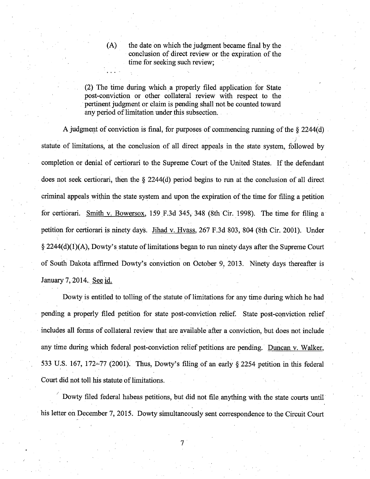(A) the date on which the judgment became final by the conclusion of direct review or the expiration of the time for seeking such review;

(2) The time during which a properly filed application for State post-conviction or other collateral review with respect to the pertinent judgment or claim is pending shall not be counted toward any period of limitation under this subsection.

A judgment of conviction is final, for purposes of commencing rurming of the § 2244(d) statute of limitations, at the conclusion of all direct appeals in the state system, followed by completion or denial of certiorari to the Supreme Court of the United States. If the defendant does not seek certiorari, then the § 2244(d) period begins to run at the conclusion of all direct criminal appeals within the state system and upon the expiration of the time for filing a petition for certiorari. Smith v. Bowersox. 159 F.3d 345, 348 (8th Cir. 1998). The time for filing a petition for certiorari is ninety days. Jihad v. Hvass. 267 F.3d 803, 804 (8th Cir. 2001). Under § 2244(d)(1)(A), Dowty's statute of limitations began to run ninety days after the Supreme Court of South Dakota affirmed Dowty's conviction on October 9, 2013. Ninety days thereafter is January 7.2014. See id.

Dowty is entitled to tolling of the statute of limitations for any time during which he had pending a properly filed petition for state post-conviction relief. State post-conviction relief includes all forms of collateral review that are available after a conviction, but does not include any time during which federal post-conviction relief petitions are pending. Duncan v. Walker. 533 U.S. 167, 172-77 (2001). Thus, Dowty's filing of an early  $\S$  2254 petition in this federal Court did not toll his statute of limitations.

Dowty filed federal habeas petitions, but did not file anything with the state courts until his letter on December 7, 2015. Dowty simultaneously sent correspondence to the Circuit Court

7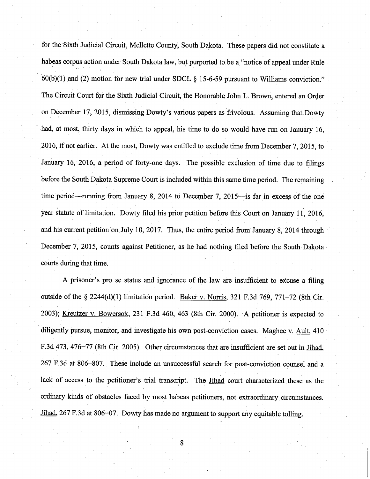for the Sixth Judicial Circuit, Mellette County, South Dakota. These papers did not constitute a habeas corpus action under South Dakota law, hut purported to he a "notice of appeal under Rule  $60(b)(1)$  and (2) motion for new trial under SDCL § 15-6-59 pursuant to Williams conviction." The Circuit Court for the Sixth Judicial Circuit, the Honorable John L. Brown, entered an Order on December 17, 2015, dismissing Dowty's various papers as frivolous. Assuming that Dowty had, at most, thirty days in which to appeal, his time to do so would have run on January 16, 2016, if not earlier. At the most, Dowty was entitled to exclude time from December 7, 2015, to January 16, 2016, a period of forty-one days. The possible exclusion of time due to filings before the South Dakota Supreme Court is included within this same time period. The remaining time period—running from January 8, 2014 to December 7, 2015—is far in excess of the one year statute of limitation. Dowty filed his prior petition before this Court on January 11, 2016, and his current petition on July 10, 2017. Thus, the entire period from January 8, 2014 through December 7, 2015, counts against Petitioner, as he had nothing filed before the South Dakota courts during that time.

A prisoner's pro se status and ignorance of the law are insufficient to excuse a filing outside of the § 2244(d)(1) limitation period. Baker v. Norris. 321 F.3d 769, 771-72 (8th Cir. 2003); Kreutzer v. Bowersox. 231 F.3d 460, 463 (8th Cir. 2000). A petitioner is expected to diligently pursue, monitor, and investigate his own post-conviction cases. Maghee v. Ault, 410 F.3d 473, 476-77 (8th Cir. 2005). Other circumstances that are insufficient are set out in Jihad. 267 F.3d at 806-807. These include an unsuccessful search for post-conviction counsel and a lack of access to the petitioner's trial transcript. The Jihad court characterized these as the ordinary kinds of obstacles faced by most habeas petitioners, not extraordinary circumstances. Jihad, 267 F.3d at 806-07. Dowty has made no argument to support any equitable tolling.

8